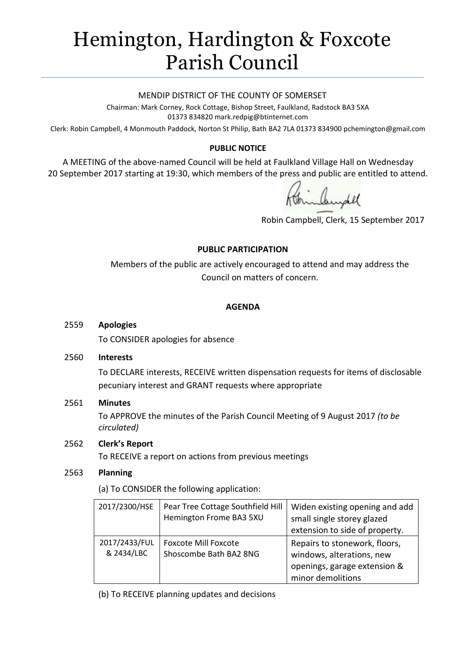# Hemington, Hardington & Foxcote Parish Council

#### MENDIP DISTRICT OF THE COUNTY OF SOMERSET

Chairman: Mark Corney, Rock Cottage, Bishop Street, Faulkland, Radstock BA3 5XA 01373 834820 mark.redpig@btinternet.com

Clerk: Robin Campbell, 4 Monmouth Paddock, Norton St Philip, Bath BA2 7LA 01373 834900 [pchemington@gmail.com](mailto:pchemington@gmail.com)

## **PUBLIC NOTICE**

A MEETING of the above-named Council will be held at Faulkland Village Hall on Wednesday 20 September 2017 starting at 19:30, which members of the press and public are entitled to attend.

Robin Campbell, Clerk, 15 September 2017

#### **PUBLIC PARTICIPATION**

Members of the public are actively encouraged to attend and may address the Council on matters of concern.

#### **AGENDA**

#### 2559 **Apologies**

To CONSIDER apologies for absence

#### 2560 **Interests**

To DECLARE interests, RECEIVE written dispensation requests for items of disclosable pecuniary interest and GRANT requests where appropriate

#### 2561 **Minutes**

To APPROVE the minutes of the Parish Council Meeting of 9 August 2017 *(to be circulated)*

## 2562 **Clerk's Report**

To RECEIVE a report on actions from previous meetings

#### 2563 **Planning**

(a) To CONSIDER the following application:

| 2017/2300/HSE               | Pear Tree Cottage Southfield Hill<br>Hemington Frome BA3 5XU | Widen existing opening and add<br>small single storey glazed<br>extension to side of property.                  |
|-----------------------------|--------------------------------------------------------------|-----------------------------------------------------------------------------------------------------------------|
| 2017/2433/FUL<br>& 2434/LBC | <b>Foxcote Mill Foxcote</b><br>Shoscombe Bath BA2 8NG        | Repairs to stonework, floors,<br>windows, alterations, new<br>openings, garage extension &<br>minor demolitions |

(b) To RECEIVE planning updates and decisions